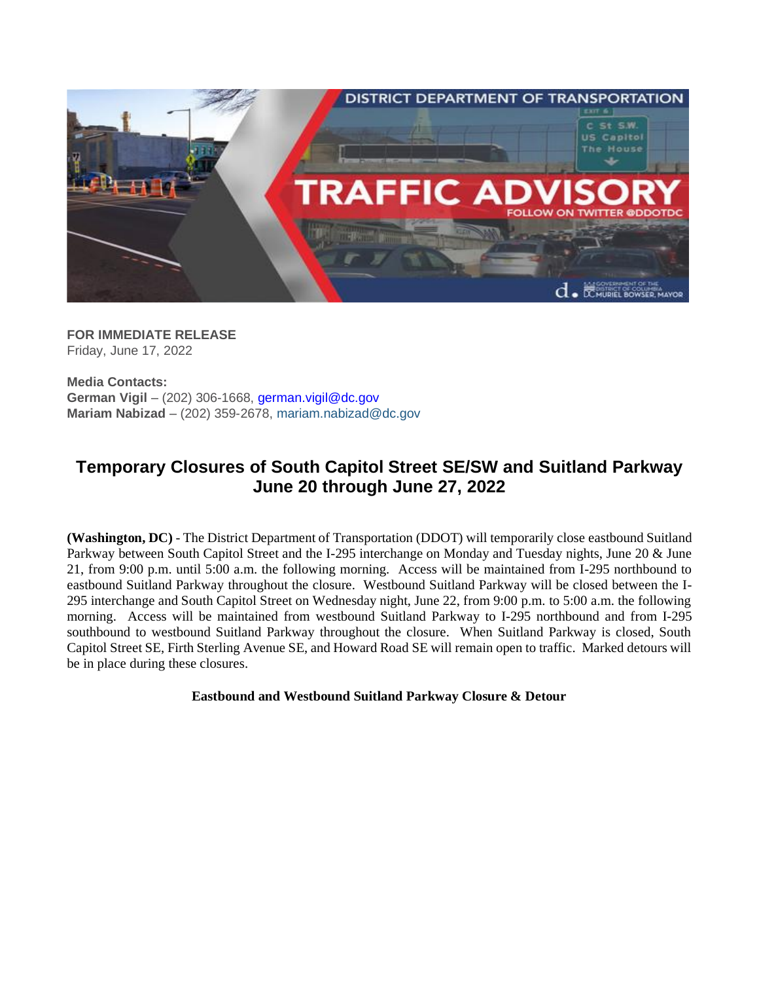

**FOR IMMEDIATE RELEASE** Friday, June 17, 2022

**Media Contacts: German Vigil** – (202) 306-1668, [german.vigil@dc.gov](mailto:german.vigil@dc.gov) **Mariam Nabizad** – (202) 359-2678, [mariam.nabizad@dc.gov](mailto:mariam.nabizad@dc.gov)

## **Temporary Closures of South Capitol Street SE/SW and Suitland Parkway June 20 through June 27, 2022**

**(Washington, DC)** - The District Department of Transportation (DDOT) will temporarily close eastbound Suitland Parkway between South Capitol Street and the I-295 interchange on Monday and Tuesday nights, June 20 & June 21, from 9:00 p.m. until 5:00 a.m. the following morning. Access will be maintained from I-295 northbound to eastbound Suitland Parkway throughout the closure. Westbound Suitland Parkway will be closed between the I-295 interchange and South Capitol Street on Wednesday night, June 22, from 9:00 p.m. to 5:00 a.m. the following morning. Access will be maintained from westbound Suitland Parkway to I-295 northbound and from I-295 southbound to westbound Suitland Parkway throughout the closure. When Suitland Parkway is closed, South Capitol Street SE, Firth Sterling Avenue SE, and Howard Road SE will remain open to traffic. Marked detours will be in place during these closures.

**Eastbound and Westbound Suitland Parkway Closure & Detour**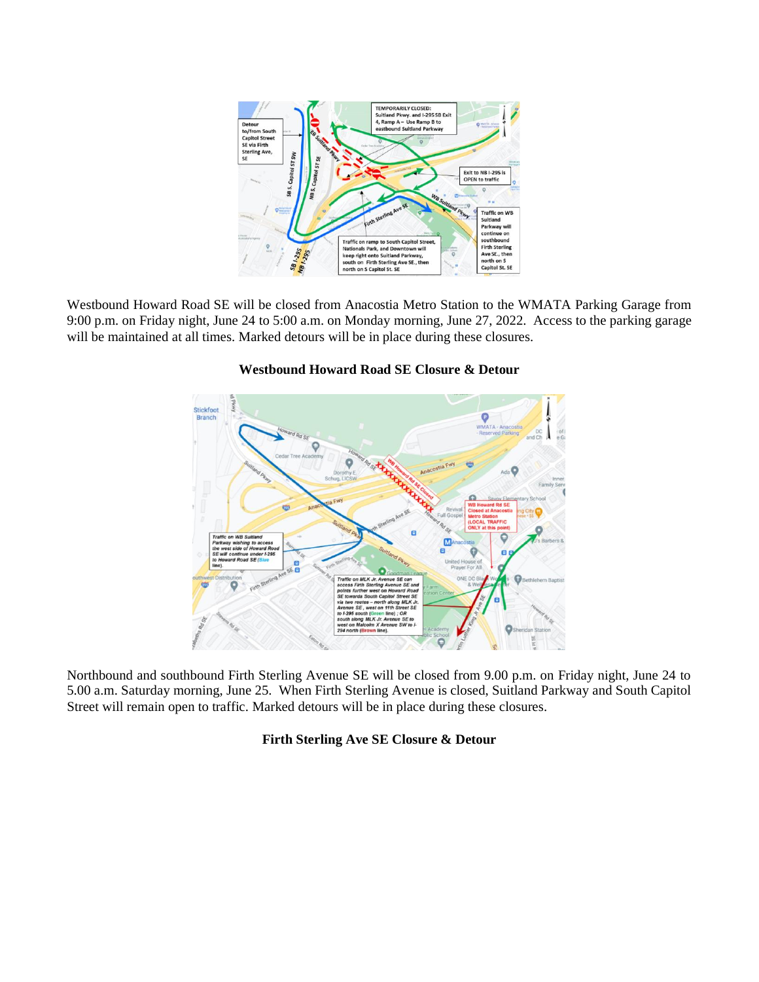

Westbound Howard Road SE will be closed from Anacostia Metro Station to the WMATA Parking Garage from 9:00 p.m. on Friday night, June 24 to 5:00 a.m. on Monday morning, June 27, 2022. Access to the parking garage will be maintained at all times. Marked detours will be in place during these closures.



## **Westbound Howard Road SE Closure & Detour**

Northbound and southbound Firth Sterling Avenue SE will be closed from 9.00 p.m. on Friday night, June 24 to 5.00 a.m. Saturday morning, June 25. When Firth Sterling Avenue is closed, Suitland Parkway and South Capitol Street will remain open to traffic. Marked detours will be in place during these closures.

## **Firth Sterling Ave SE Closure & Detour**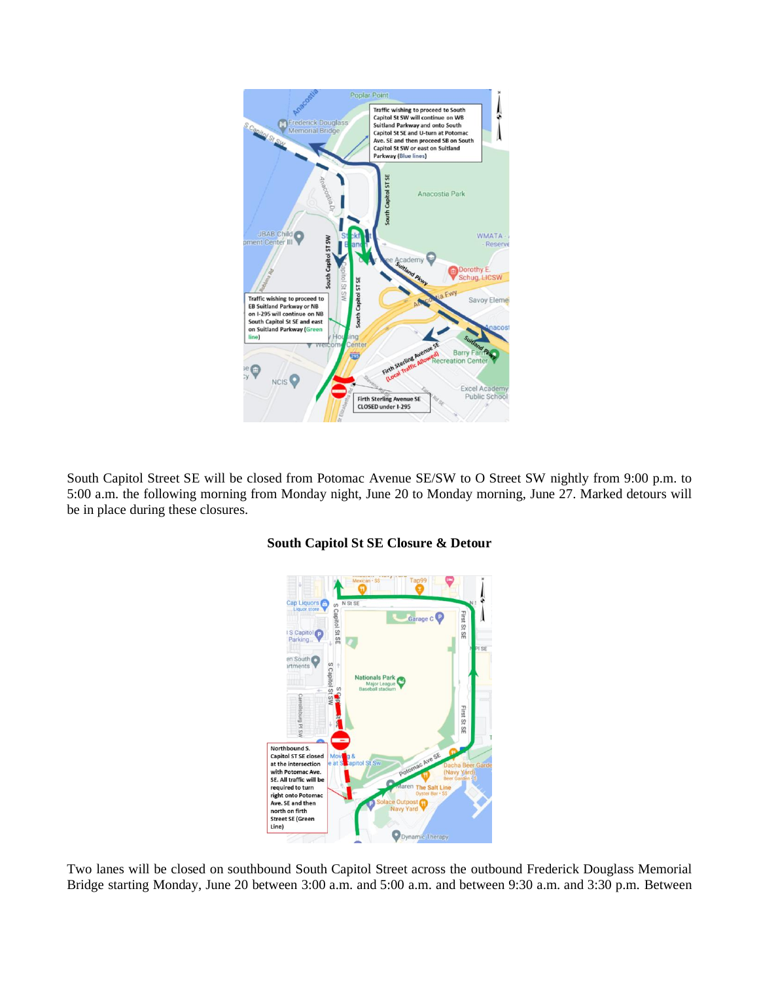

South Capitol Street SE will be closed from Potomac Avenue SE/SW to O Street SW nightly from 9:00 p.m. to 5:00 a.m. the following morning from Monday night, June 20 to Monday morning, June 27. Marked detours will be in place during these closures.



## **South Capitol St SE Closure & Detour**

Two lanes will be closed on southbound South Capitol Street across the outbound Frederick Douglass Memorial Bridge starting Monday, June 20 between 3:00 a.m. and 5:00 a.m. and between 9:30 a.m. and 3:30 p.m. Between